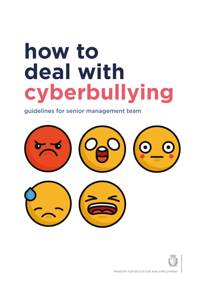# **how to deal with cyberbullying**

guidelines for senior management team





MINISTRY FOR EDUCATION AND EMPLOYMEN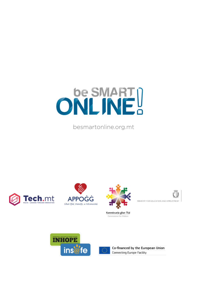

besmartonline.org.mt









Kummissarju ghat-Tfal





Co-financed by the European Union Connecting Europe Facility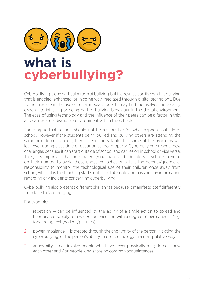

Cyberbullying is one particular form of bullying, but it doesn't sit on its own. It is bullying that is enabled, enhanced, or in some way, mediated through digital technology. Due to the increase in the use of social media, students may find themselves more easily drawn into initiating or being part of bullying behaviour in the digital environment. The ease of using technology and the influence of their peers can be a factor in this, and can create a disruptive environment within the schools.

Some argue that schools should not be responsible for what happens outside of school. However if the students being bullied and bullying others are attending the same or different schools, then it seems inevitable that some of the problems will leak over during class time or occur on school property. Cyberbullying presents new challenges because it can start outside of school and carries on in school or vice versa. Thus, it is important that both parents/guardians and educators in schools have to do their upmost to avoid these undesired behaviours. It is the parents/guardians' responsibility to monitor the technological use of their children once away from school, whilst it is the teaching staff's duties to take note and pass on any information regarding any incidents concerning cyberbullying.

Cyberbullying also presents different challenges because it manifests itself differently from face to face bullying.

For example:

- 1. repetition  $-$  can be influenced by the ability of a single action to spread and be repeated rapidly to a wider audience and with a degree of permanence (e.g. forwarding texts/videos/pictures)
- 2. power imbalance is created through the anonymity of the person initiating the cyberbullying; or the person's ability to use technology in a manipulative way
- 3. anonymity can involve people who have never physically met; do not know each other and / or people who share no common acquaintances.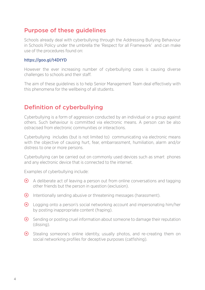#### Purpose of these guidelines

Schools already deal with cyberbullying through the Addressing Bullying Behaviour in Schools Policy under the umbrella the 'Respect for all Framework' and can make use of the procedures found on:

#### https://goo.gl/t4DtYD

However the ever increasing number of cyberbullying cases is causing diverse challenges to schools and their staff.

The aim of these guidelines is to help Senior Management Team deal effectively with this phenomena for the wellbeing of all students.

#### Definition of cyberbullying

Cyberbullying is a form of aggression conducted by an individual or a group against others. Such behaviour is committed via electronic means. A person can be also ostracised from electronic communities or interactions.

Cyberbullying includes (but is not limited to) communicating via electronic means with the objective of causing hurt, fear, embarrassment, humiliation, alarm and/or distress to one or more persons.

Cyberbullying can be carried out on commonly used devices such as smart phones and any electronic device that is connected to the internet.

Examples of cyberbullying include:

- $\odot$  A deliberate act of leaving a person out from online conversations and tagging other friends but the person in question (exclusion).
- { Intentionally sending abusive or threatening messages (harassment).
- { Logging onto a person's social networking account and impersonating him/her by posting inappropriate content (fraping).
- { Sending or posting cruel information about someone to damage their reputation (dissing).
- { Stealing someone's online identity, usually photos, and re-creating them on social networking profiles for deceptive purposes (catfishing).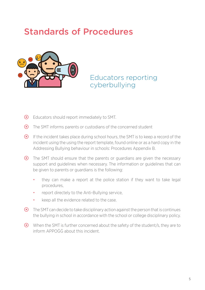## Standards of Procedures



Educators reporting cyberbullying

- { Educators should report immediately to SMT.
- $\odot$  The SMT informs parents or custodians of the concerned student
- $\odot$  If the incident takes place during school hours, the SMT is to keep a record of the incident using the using the report template, found online or as a hard copy in the Addressing Bullying behaviour in schools: Procedures Appendix B.
- { The SMT should ensure that the parents or guardians are given the necessary support and guidelines when necessary. The information or guidelines that can be given to parents or guardians is the following:
	- they can make a report at the police station if they want to take legal procedures,
	- report directely to the Anti-Bullying service,
	- keep all the evidence related to the case.
- $\odot$  The SMT can decide to take disciplinary action against the person that is continues the bullying in school in accordance with the school or college disciplinary policy.
- $\odot$  When the SMT is further concerned about the safety of the student/s, they are to inform APPOĠĠ about this incident.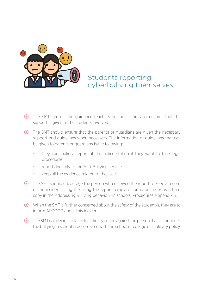

Students reporting cyberbullying themselves

- { The SMT informs the guidance teachers or counsellors and ensures that the support is given to the students involved.
- { The SMT should ensure that the parents or guardians are given the necessary support and guidelines when necessary. The information or guidelines that can be given to parents or guardians is the following:
	- they can make a report at the police station if they want to take legal procedures,
	- report directely to the Anti-Bullying service,
	- keep all the evidence related to the case.
- { The SMT should encourage the person who received the report to keep a record of the incident using the using the report template, found online or as a hard copy in the Addressing Bullying behaviour in schools: Procedures Appendix B.
- $\odot$  When the SMT is further concerned about the safety of the student/s, they are to inform APPOĠĠ about this incident.
- ${\color{black} \odot}$  The SMT can decide to take disciplinary action against the person that is continues the bullying in school in accordance with the school or college disciplinary policy.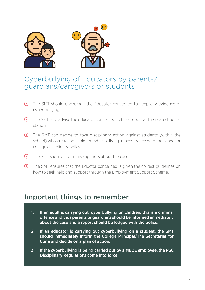

### Cyberbullying of Educators by parents/ guardians/caregivers or students

- { The SMT should encourage the Educator concerned to keep any evidence of cyber bullying.
- $\odot$  The SMT is to advise the educator concerned to file a report at the nearest police station.
- { The SMT can decide to take disciplinary action against students (within the school) who are responsible for cyber bullying in accordance with the school or college disciplinary policy.
- $\odot$  The SMT should inform his superiors about the case
- { The SMT ensures that the Eductor concerned is given the correct guidelines on how to seek help and support through the Employment Support Scheme.

#### Important things to remember

- 1. If an adult is carrying out cyberbullying on children, this is a criminal offence and thus parents or guardians should be informed immediately about the case and a report should be lodged with the police.
- 2. If an educator is carrying out cyberbullying on a student, the SMT should immediately inform the College Principal/The Secretariat for Curia and decide on a plan of action.
- 3. If the cyberbullying is being carried out by a MEDE employee, the PSC Disciplinary Regulations come into force